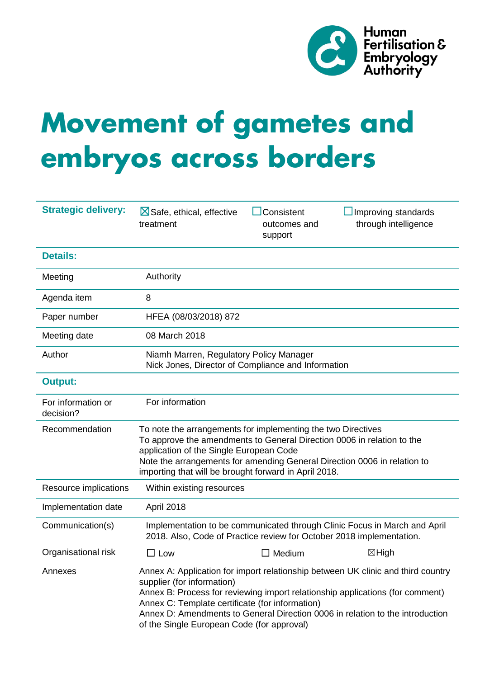

# **Movement of gametes and embryos across borders**

| <b>Strategic delivery:</b>      | $\boxtimes$ Safe, ethical, effective<br>treatment                                                                                                                                                                                                                                                                      | Consistent<br>outcomes and<br>support | Improving standards<br>through intelligence                                                                                                                                                                                                        |
|---------------------------------|------------------------------------------------------------------------------------------------------------------------------------------------------------------------------------------------------------------------------------------------------------------------------------------------------------------------|---------------------------------------|----------------------------------------------------------------------------------------------------------------------------------------------------------------------------------------------------------------------------------------------------|
| <b>Details:</b>                 |                                                                                                                                                                                                                                                                                                                        |                                       |                                                                                                                                                                                                                                                    |
| Meeting                         | Authority                                                                                                                                                                                                                                                                                                              |                                       |                                                                                                                                                                                                                                                    |
| Agenda item                     | 8                                                                                                                                                                                                                                                                                                                      |                                       |                                                                                                                                                                                                                                                    |
| Paper number                    | HFEA (08/03/2018) 872                                                                                                                                                                                                                                                                                                  |                                       |                                                                                                                                                                                                                                                    |
| Meeting date                    | 08 March 2018                                                                                                                                                                                                                                                                                                          |                                       |                                                                                                                                                                                                                                                    |
| Author                          | Niamh Marren, Regulatory Policy Manager<br>Nick Jones, Director of Compliance and Information                                                                                                                                                                                                                          |                                       |                                                                                                                                                                                                                                                    |
| <b>Output:</b>                  |                                                                                                                                                                                                                                                                                                                        |                                       |                                                                                                                                                                                                                                                    |
| For information or<br>decision? | For information                                                                                                                                                                                                                                                                                                        |                                       |                                                                                                                                                                                                                                                    |
| Recommendation                  | To note the arrangements for implementing the two Directives<br>To approve the amendments to General Direction 0006 in relation to the<br>application of the Single European Code<br>Note the arrangements for amending General Direction 0006 in relation to<br>importing that will be brought forward in April 2018. |                                       |                                                                                                                                                                                                                                                    |
| Resource implications           | Within existing resources                                                                                                                                                                                                                                                                                              |                                       |                                                                                                                                                                                                                                                    |
| Implementation date             | April 2018                                                                                                                                                                                                                                                                                                             |                                       |                                                                                                                                                                                                                                                    |
| Communication(s)                | 2018. Also, Code of Practice review for October 2018 implementation.                                                                                                                                                                                                                                                   |                                       | Implementation to be communicated through Clinic Focus in March and April                                                                                                                                                                          |
| Organisational risk             | $\square$ Low                                                                                                                                                                                                                                                                                                          | $\Box$ Medium                         | ⊠High                                                                                                                                                                                                                                              |
| Annexes                         | supplier (for information)<br>Annex C: Template certificate (for information)<br>of the Single European Code (for approval)                                                                                                                                                                                            |                                       | Annex A: Application for import relationship between UK clinic and third country<br>Annex B: Process for reviewing import relationship applications (for comment)<br>Annex D: Amendments to General Direction 0006 in relation to the introduction |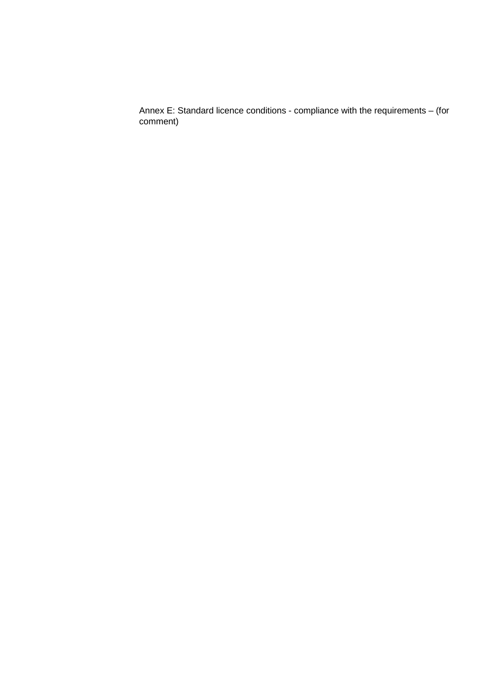Annex E: Standard licence conditions - compliance with the requirements – (for comment)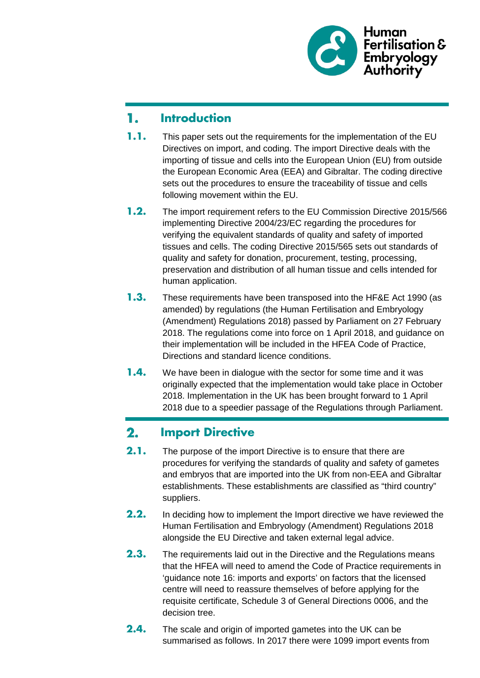

#### 1. **Introduction**

- **1.1.** This paper sets out the requirements for the implementation of the EU Directives on import, and coding. The import Directive deals with the importing of tissue and cells into the European Union (EU) from outside the European Economic Area (EEA) and Gibraltar. The coding directive sets out the procedures to ensure the traceability of tissue and cells following movement within the EU.
- **1.2.** The import requirement refers to the EU Commission Directive 2015/566 implementing Directive 2004/23/EC regarding the procedures for verifying the equivalent standards of quality and safety of imported tissues and cells. The coding Directive 2015/565 sets out standards of quality and safety for donation, procurement, testing, processing, preservation and distribution of all human tissue and cells intended for human application.
- **1.3.** These requirements have been transposed into the HF&E Act 1990 (as amended) by regulations (the Human Fertilisation and Embryology (Amendment) Regulations 2018) passed by Parliament on 27 February 2018. The regulations come into force on 1 April 2018, and guidance on their implementation will be included in the HFEA Code of Practice, Directions and standard licence conditions.
- **1.4.** We have been in dialogue with the sector for some time and it was originally expected that the implementation would take place in October 2018. Implementation in the UK has been brought forward to 1 April 2018 due to a speedier passage of the Regulations through Parliament.

#### $2.$ **Import Directive**

- **2.1.** The purpose of the import Directive is to ensure that there are procedures for verifying the standards of quality and safety of gametes and embryos that are imported into the UK from non-EEA and Gibraltar establishments. These establishments are classified as "third country" suppliers.
- **2.2.** In deciding how to implement the Import directive we have reviewed the Human Fertilisation and Embryology (Amendment) Regulations 2018 alongside the EU Directive and taken external legal advice.
- **2.3.** The requirements laid out in the Directive and the Regulations means that the HFEA will need to amend the Code of Practice requirements in 'guidance note 16: imports and exports' on factors that the licensed centre will need to reassure themselves of before applying for the requisite certificate, Schedule 3 of General Directions 0006, and the decision tree.
- **2.4.** The scale and origin of imported gametes into the UK can be summarised as follows. In 2017 there were 1099 import events from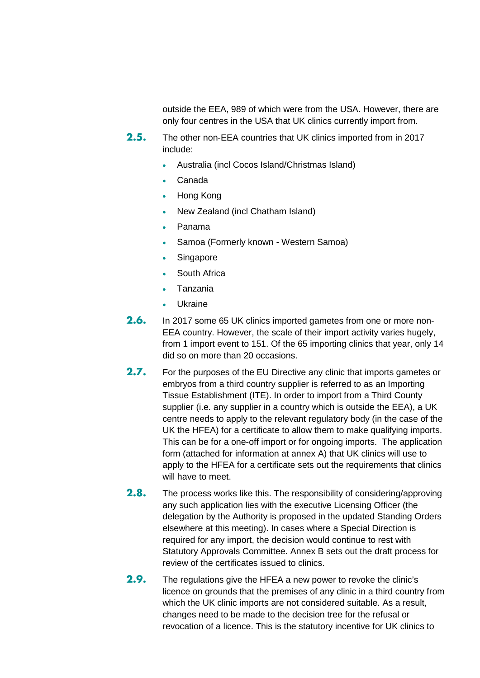outside the EEA, 989 of which were from the USA. However, there are only four centres in the USA that UK clinics currently import from.

- **2.5.** The other non-EEA countries that UK clinics imported from in 2017 include:
	- Australia (incl Cocos Island/Christmas Island)
	- Canada
	- Hong Kong
	- New Zealand (incl Chatham Island)
	- Panama
	- Samoa (Formerly known Western Samoa)
	- Singapore
	- South Africa
	- Tanzania
	- **Ukraine**
- **2.6.** In 2017 some 65 UK clinics imported gametes from one or more non-EEA country. However, the scale of their import activity varies hugely, from 1 import event to 151. Of the 65 importing clinics that year, only 14 did so on more than 20 occasions.
- **2.7.** For the purposes of the EU Directive any clinic that imports gametes or embryos from a third country supplier is referred to as an Importing Tissue Establishment (ITE). In order to import from a Third County supplier (i.e. any supplier in a country which is outside the EEA), a UK centre needs to apply to the relevant regulatory body (in the case of the UK the HFEA) for a certificate to allow them to make qualifying imports. This can be for a one-off import or for ongoing imports. The application form (attached for information at annex A) that UK clinics will use to apply to the HFEA for a certificate sets out the requirements that clinics will have to meet.
- **2.8.** The process works like this. The responsibility of considering/approving any such application lies with the executive Licensing Officer (the delegation by the Authority is proposed in the updated Standing Orders elsewhere at this meeting). In cases where a Special Direction is required for any import, the decision would continue to rest with Statutory Approvals Committee. Annex B sets out the draft process for review of the certificates issued to clinics.
- **2.9.** The regulations give the HFEA a new power to revoke the clinic's licence on grounds that the premises of any clinic in a third country from which the UK clinic imports are not considered suitable. As a result, changes need to be made to the decision tree for the refusal or revocation of a licence. This is the statutory incentive for UK clinics to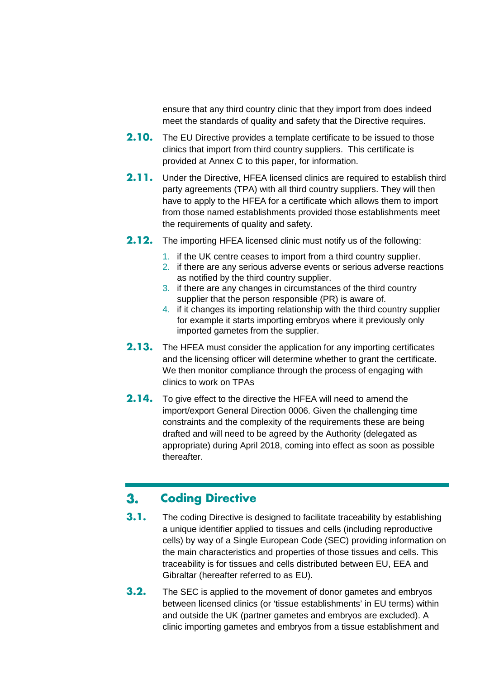ensure that any third country clinic that they import from does indeed meet the standards of quality and safety that the Directive requires.

- **2.10.** The EU Directive provides a template certificate to be issued to those clinics that import from third country suppliers. This certificate is provided at Annex C to this paper, for information.
- **2.11.** Under the Directive, HFEA licensed clinics are required to establish third party agreements (TPA) with all third country suppliers. They will then have to apply to the HFEA for a certificate which allows them to import from those named establishments provided those establishments meet the requirements of quality and safety.
- **2.12.** The importing HFEA licensed clinic must notify us of the following:
	- 1. if the UK centre ceases to import from a third country supplier.
	- 2. if there are any serious adverse events or serious adverse reactions as notified by the third country supplier.
	- 3. if there are any changes in circumstances of the third country supplier that the person responsible (PR) is aware of.
	- 4. if it changes its importing relationship with the third country supplier for example it starts importing embryos where it previously only imported gametes from the supplier.
- **2.13.** The HFEA must consider the application for any importing certificates and the licensing officer will determine whether to grant the certificate. We then monitor compliance through the process of engaging with clinics to work on TPAs
- **2.14.** To give effect to the directive the HFEA will need to amend the import/export General Direction 0006. Given the challenging time constraints and the complexity of the requirements these are being drafted and will need to be agreed by the Authority (delegated as appropriate) during April 2018, coming into effect as soon as possible thereafter.

#### $3.$ **Coding Directive**

- **3.1.** The coding Directive is designed to facilitate traceability by establishing a unique identifier applied to tissues and cells (including reproductive cells) by way of a Single European Code (SEC) providing information on the main characteristics and properties of those tissues and cells. This traceability is for tissues and cells distributed between EU, EEA and Gibraltar (hereafter referred to as EU).
- **3.2.** The SEC is applied to the movement of donor gametes and embryos between licensed clinics (or 'tissue establishments' in EU terms) within and outside the UK (partner gametes and embryos are excluded). A clinic importing gametes and embryos from a tissue establishment and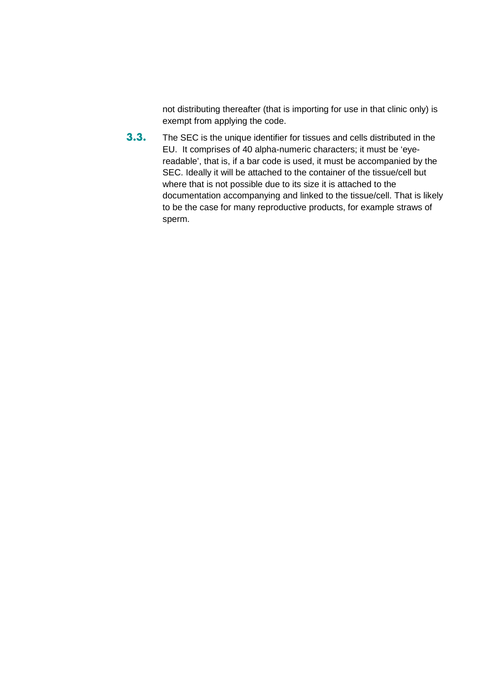not distributing thereafter (that is importing for use in that clinic only) is exempt from applying the code.

**3.3.** The SEC is the unique identifier for tissues and cells distributed in the EU. It comprises of 40 alpha-numeric characters; it must be 'eyereadable', that is, if a bar code is used, it must be accompanied by the SEC. Ideally it will be attached to the container of the tissue/cell but where that is not possible due to its size it is attached to the documentation accompanying and linked to the tissue/cell. That is likely to be the case for many reproductive products, for example straws of sperm.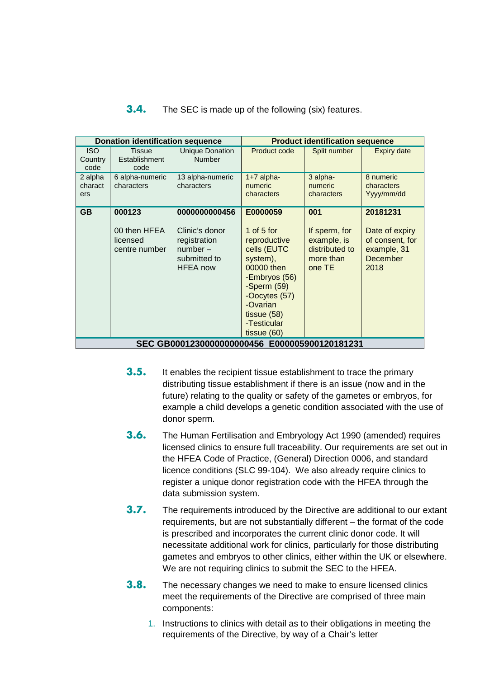| <b>Donation identification sequence</b>       |                                                     |                                                                                                 | <b>Product identification sequence</b>                                                                                                                                                            |                                                                              |                                                                                  |  |  |  |
|-----------------------------------------------|-----------------------------------------------------|-------------------------------------------------------------------------------------------------|---------------------------------------------------------------------------------------------------------------------------------------------------------------------------------------------------|------------------------------------------------------------------------------|----------------------------------------------------------------------------------|--|--|--|
| <b>ISO</b><br>Country<br>code                 | <b>Tissue</b><br>Establishment<br>code              | <b>Unique Donation</b><br><b>Number</b>                                                         | Product code                                                                                                                                                                                      | Split number                                                                 | <b>Expiry date</b>                                                               |  |  |  |
| 2 alpha<br>charact<br>ers                     | 6 alpha-numeric<br>characters                       | 13 alpha-numeric<br>characters                                                                  | $1+7$ alpha-<br>numeric<br>characters                                                                                                                                                             | 3 alpha-<br>numeric<br>characters                                            | 8 numeric<br>characters<br>Yyyy/mm/dd                                            |  |  |  |
| GB                                            | 000123<br>00 then HFEA<br>licensed<br>centre number | 0000000000456<br>Clinic's donor<br>registration<br>$number-$<br>submitted to<br><b>HFEA</b> now | E0000059<br>1 of $5$ for<br>reproductive<br>cells (EUTC<br>system),<br>00000 then<br>-Embryos (56)<br>-Sperm $(59)$<br>-Oocytes (57)<br>-Ovarian<br>tissue $(58)$<br>-Testicular<br>tissue $(60)$ | 001<br>If sperm, for<br>example, is<br>distributed to<br>more than<br>one TE | 20181231<br>Date of expiry<br>of consent, for<br>example, 31<br>December<br>2018 |  |  |  |
| SEC GB0001230000000000456 E000005900120181231 |                                                     |                                                                                                 |                                                                                                                                                                                                   |                                                                              |                                                                                  |  |  |  |

### **3.4.** The SEC is made up of the following (six) features.

- **3.5.** It enables the recipient tissue establishment to trace the primary distributing tissue establishment if there is an issue (now and in the future) relating to the quality or safety of the gametes or embryos, for example a child develops a genetic condition associated with the use of donor sperm.
- **3.6.** The Human Fertilisation and Embryology Act 1990 (amended) requires licensed clinics to ensure full traceability. Our requirements are set out in the HFEA Code of Practice, (General) Direction 0006, and standard licence conditions (SLC 99-104). We also already require clinics to register a unique donor registration code with the HFEA through the data submission system.
- **3.7.** The requirements introduced by the Directive are additional to our extant requirements, but are not substantially different – the format of the code is prescribed and incorporates the current clinic donor code. It will necessitate additional work for clinics, particularly for those distributing gametes and embryos to other clinics, either within the UK or elsewhere. We are not requiring clinics to submit the SEC to the HFEA.
- **3.8.** The necessary changes we need to make to ensure licensed clinics meet the requirements of the Directive are comprised of three main components:
	- 1. Instructions to clinics with detail as to their obligations in meeting the requirements of the Directive, by way of a Chair's letter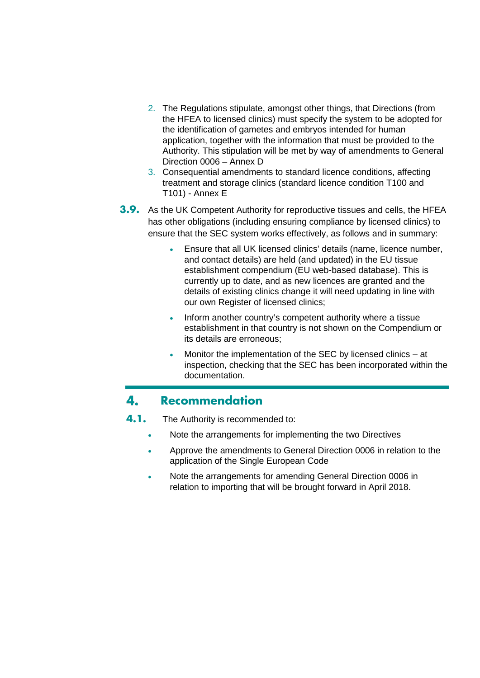- 2. The Regulations stipulate, amongst other things, that Directions (from the HFEA to licensed clinics) must specify the system to be adopted for the identification of gametes and embryos intended for human application, together with the information that must be provided to the Authority. This stipulation will be met by way of amendments to General Direction 0006 – Annex D
- 3. Consequential amendments to standard licence conditions, affecting treatment and storage clinics (standard licence condition T100 and T101) - Annex E
- **3.9.** As the UK Competent Authority for reproductive tissues and cells, the HFEA has other obligations (including ensuring compliance by licensed clinics) to ensure that the SEC system works effectively, as follows and in summary:
	- Ensure that all UK licensed clinics' details (name, licence number, and contact details) are held (and updated) in the EU tissue establishment compendium (EU web-based database). This is currently up to date, and as new licences are granted and the details of existing clinics change it will need updating in line with our own Register of licensed clinics;
	- Inform another country's competent authority where a tissue establishment in that country is not shown on the Compendium or its details are erroneous;
	- Monitor the implementation of the SEC by licensed clinics at inspection, checking that the SEC has been incorporated within the documentation.

#### 4. **Recommendation**

- **4.1.** The Authority is recommended to:
	- Note the arrangements for implementing the two Directives
	- Approve the amendments to General Direction 0006 in relation to the application of the Single European Code
	- Note the arrangements for amending General Direction 0006 in relation to importing that will be brought forward in April 2018.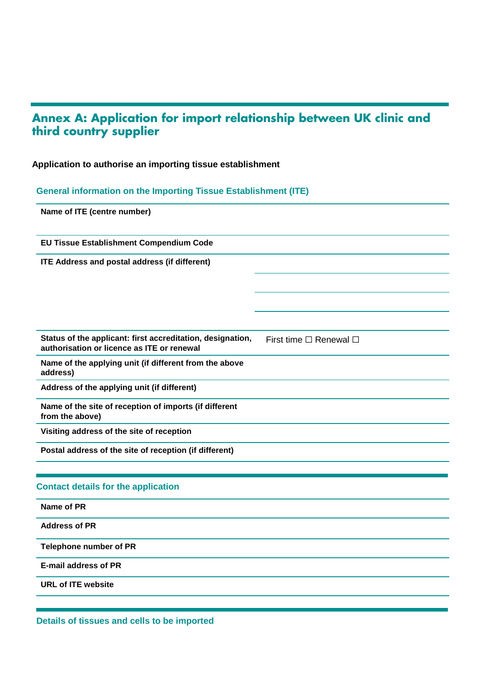# **Annex A: Application for import relationship between UK clinic and third country supplier**

## **Application to authorise an importing tissue establishment**

## **General information on the Importing Tissue Establishment (ITE)**

| Name of ITE (centre number)                                                                              |                                  |  |
|----------------------------------------------------------------------------------------------------------|----------------------------------|--|
| EU Tissue Establishment Compendium Code                                                                  |                                  |  |
| <b>ITE Address and postal address (if different)</b>                                                     |                                  |  |
|                                                                                                          |                                  |  |
|                                                                                                          |                                  |  |
|                                                                                                          |                                  |  |
| Status of the applicant: first accreditation, designation,<br>authorisation or licence as ITE or renewal | First time $\Box$ Renewal $\Box$ |  |
| Name of the applying unit (if different from the above<br>address)                                       |                                  |  |
| Address of the applying unit (if different)                                                              |                                  |  |
| Name of the site of reception of imports (if different<br>from the above)                                |                                  |  |
| Visiting address of the site of reception                                                                |                                  |  |
| Postal address of the site of reception (if different)                                                   |                                  |  |
|                                                                                                          |                                  |  |
| <b>Contact details for the application</b>                                                               |                                  |  |
| Name of PR                                                                                               |                                  |  |
| <b>Address of PR</b>                                                                                     |                                  |  |
| <b>Telephone number of PR</b>                                                                            |                                  |  |
| <b>E-mail address of PR</b>                                                                              |                                  |  |
| <b>URL of ITE website</b>                                                                                |                                  |  |
|                                                                                                          |                                  |  |

**Details of tissues and cells to be imported**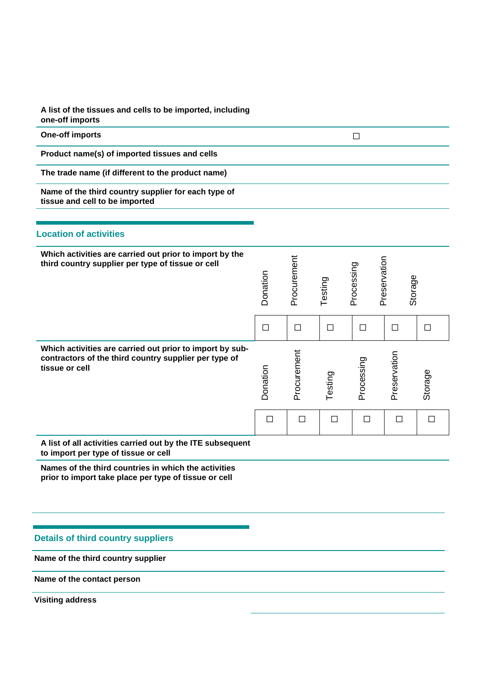**A list of the tissues and cells to be imported, including one-off imports** 

| <b>One-off imports</b>                                                                                                              |          |             |         | $\Box$     |              |         |
|-------------------------------------------------------------------------------------------------------------------------------------|----------|-------------|---------|------------|--------------|---------|
| Product name(s) of imported tissues and cells                                                                                       |          |             |         |            |              |         |
| The trade name (if different to the product name)                                                                                   |          |             |         |            |              |         |
| Name of the third country supplier for each type of<br>tissue and cell to be imported                                               |          |             |         |            |              |         |
| <b>Location of activities</b>                                                                                                       |          |             |         |            |              |         |
| Which activities are carried out prior to import by the<br>third country supplier per type of tissue or cell                        | Donation | Procurement | Testing | Processing | Preservation | Storage |
|                                                                                                                                     | $\Box$   | $\Box$      | $\Box$  | $\Box$     | $\Box$       | $\Box$  |
| Which activities are carried out prior to import by sub-<br>contractors of the third country supplier per type of<br>tissue or cell | Donation | Procurement | Testing | Processing | Preservation | Storage |
|                                                                                                                                     | $\Box$   | $\Box$      | $\Box$  | $\Box$     | $\Box$       | $\Box$  |
| A list of all activities carried out by the ITE subsequent<br>to import per type of tissue or cell                                  |          |             |         |            |              |         |
| Names of the third countries in which the activities                                                                                |          |             |         |            |              |         |

**prior to import take place per type of tissue or cell**

## **Details of third country suppliers**

**Name of the third country supplier**

**Name of the contact person**

<span id="page-9-1"></span><span id="page-9-0"></span>**Visiting address**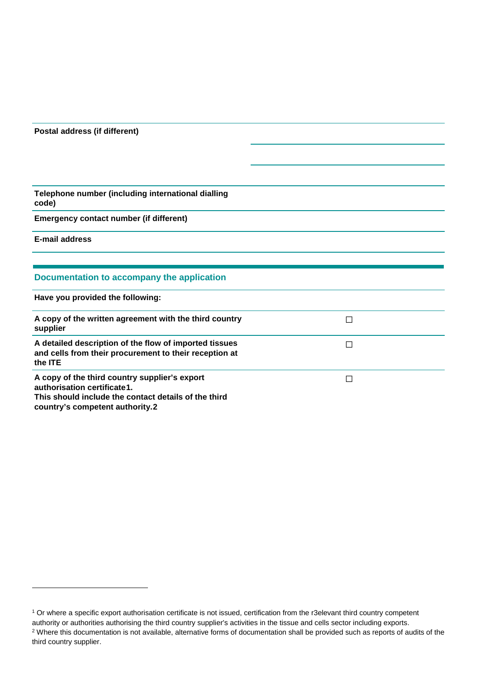#### **Postal address (if different)**

**Telephone number (including international dialling code)**

**Emergency contact number (if different)**

**E-mail address**

-

#### **Documentation to accompany the application**

**Have you provided the following:**

| A copy of the written agreement with the third country<br>supplier                                                                                                      |  |
|-------------------------------------------------------------------------------------------------------------------------------------------------------------------------|--|
| A detailed description of the flow of imported tissues<br>and cells from their procurement to their reception at<br>the <b>ITE</b>                                      |  |
| A copy of the third country supplier's export<br>authorisation certificate1.<br>This should include the contact details of the third<br>country's competent authority.2 |  |

<sup>&</sup>lt;sup>1</sup> Or where a specific export authorisation certificate is not issued, certification from the r3elevant third country competent authority or authorities authorising the third country supplier's activities in the tissue and cells sector including exports. <sup>2</sup> Where this documentation is not available, alternative forms of documentation shall be provided such as reports of audits of the third country supplier.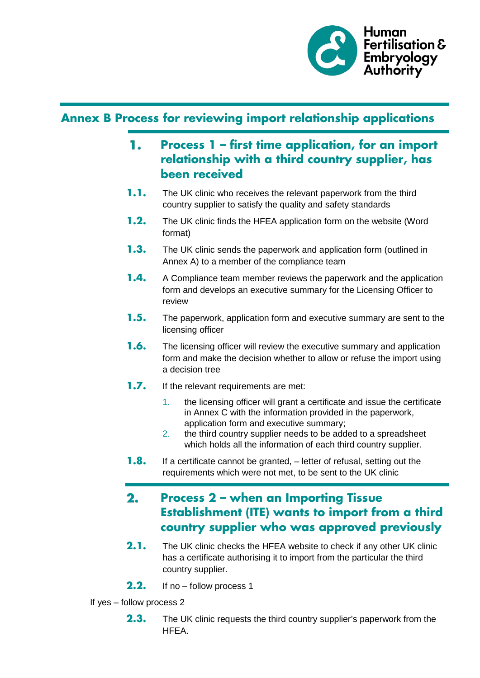

## **Annex B Process for reviewing import relationship applications**

- **Process 1 – first time application, for an import**  1. **relationship with a third country supplier, has been received**
- **1.1.** The UK clinic who receives the relevant paperwork from the third country supplier to satisfy the quality and safety standards
- **1.2.** The UK clinic finds the HFEA application form on the website (Word format)
- **1.3.** The UK clinic sends the paperwork and application form (outlined in Annex A) to a member of the compliance team
- **1.4.** A Compliance team member reviews the paperwork and the application form and develops an executive summary for the Licensing Officer to review
- **1.5.** The paperwork, application form and executive summary are sent to the licensing officer
- **1.6.** The licensing officer will review the executive summary and application form and make the decision whether to allow or refuse the import using a decision tree
- **1.7.** If the relevant requirements are met:
	- 1. the licensing officer will grant a certificate and issue the certificate in Annex C with the information provided in the paperwork, application form and executive summary;
	- 2. the third country supplier needs to be added to a spreadsheet which holds all the information of each third country supplier.
- **1.8.** If a certificate cannot be granted, letter of refusal, setting out the requirements which were not met, to be sent to the UK clinic

## **Process 2 – when an Importing Tissue**   $2.$ **Establishment (ITE) wants to import from a third country supplier who was approved previously**

- **2.1.** The UK clinic checks the HFEA website to check if any other UK clinic has a certificate authorising it to import from the particular the third country supplier.
- **2.2.** If no follow process 1
- If yes follow process 2
	- **2.3.** The UK clinic requests the third country supplier's paperwork from the HFEA.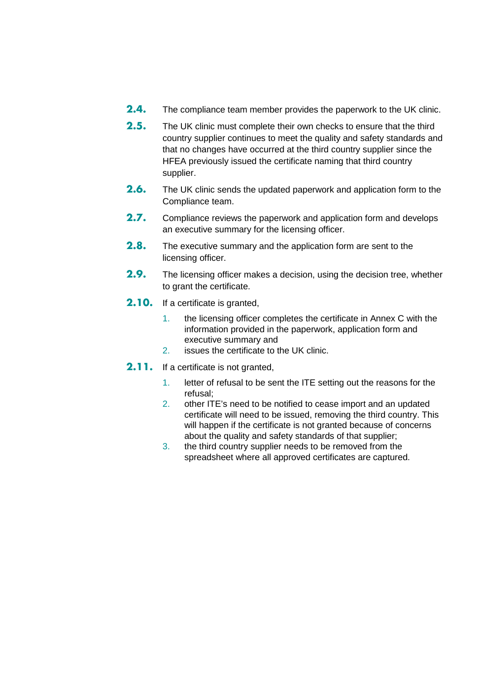- **2.4.** The compliance team member provides the paperwork to the UK clinic.
- **2.5.** The UK clinic must complete their own checks to ensure that the third country supplier continues to meet the quality and safety standards and that no changes have occurred at the third country supplier since the HFEA previously issued the certificate naming that third country supplier.
- **2.6.** The UK clinic sends the updated paperwork and application form to the Compliance team.
- **2.7.** Compliance reviews the paperwork and application form and develops an executive summary for the licensing officer.
- **2.8.** The executive summary and the application form are sent to the licensing officer.
- **2.9.** The licensing officer makes a decision, using the decision tree, whether to grant the certificate.
- **2.10.** If a certificate is granted,
	- 1. the licensing officer completes the certificate in Annex C with the information provided in the paperwork, application form and executive summary and
	- 2. issues the certificate to the UK clinic.
- 2.11. If a certificate is not granted,
	- 1. letter of refusal to be sent the ITE setting out the reasons for the refusal;
	- 2. other ITE's need to be notified to cease import and an updated certificate will need to be issued, removing the third country. This will happen if the certificate is not granted because of concerns about the quality and safety standards of that supplier;
	- 3. the third country supplier needs to be removed from the spreadsheet where all approved certificates are captured.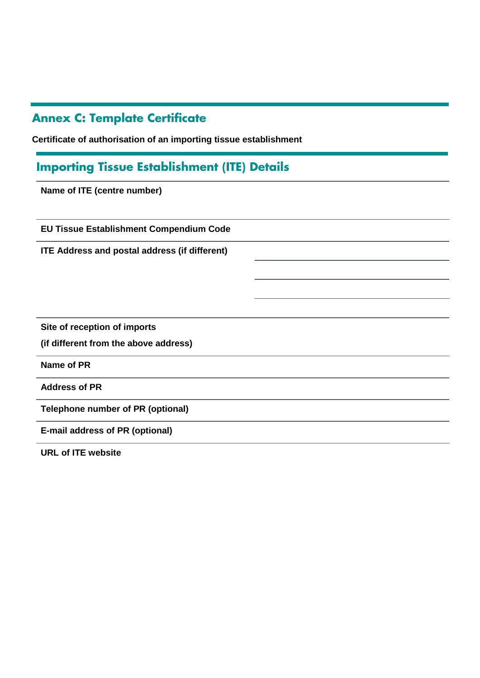# **Annex C: Template Certificate**

**Certificate of authorisation of an importing tissue establishment**

## **Importing Tissue Establishment (ITE) Details**

**Name of ITE (centre number)**

**EU Tissue Establishment Compendium Code**

**ITE Address and postal address (if different)**

**Site of reception of imports** 

**(if different from the above address)**

**Name of PR**

**Address of PR**

**Telephone number of PR (optional)**

**E-mail address of PR (optional)**

**URL of ITE website**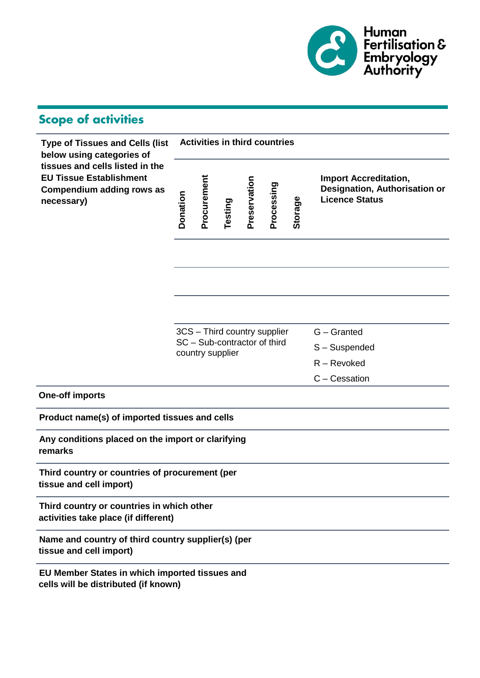

# **Scope of activities**

| <b>Type of Tissues and Cells (list</b><br>below using categories of                                          |          | <b>Activities in third countries</b>             |         |              |                              |         |                                                                                        |  |
|--------------------------------------------------------------------------------------------------------------|----------|--------------------------------------------------|---------|--------------|------------------------------|---------|----------------------------------------------------------------------------------------|--|
| tissues and cells listed in the<br><b>EU Tissue Establishment</b><br>Compendium adding rows as<br>necessary) | Donation | Procurement                                      | Testing | Preservation | Processing                   | Storage | <b>Import Accreditation,</b><br>Designation, Authorisation or<br><b>Licence Status</b> |  |
|                                                                                                              |          |                                                  |         |              |                              |         |                                                                                        |  |
|                                                                                                              |          |                                                  |         |              |                              |         |                                                                                        |  |
|                                                                                                              |          |                                                  |         |              |                              |         |                                                                                        |  |
|                                                                                                              |          |                                                  |         |              | 3CS - Third country supplier |         | G - Granted                                                                            |  |
|                                                                                                              |          | SC - Sub-contractor of third<br>country supplier |         |              |                              |         | S-Suspended                                                                            |  |
|                                                                                                              |          |                                                  |         |              |                              |         | $R -$ Revoked                                                                          |  |
|                                                                                                              |          |                                                  |         |              |                              |         | C - Cessation                                                                          |  |
| <b>One-off imports</b>                                                                                       |          |                                                  |         |              |                              |         |                                                                                        |  |
| Product name(s) of imported tissues and cells                                                                |          |                                                  |         |              |                              |         |                                                                                        |  |
| Any conditions placed on the import or clarifying<br>remarks                                                 |          |                                                  |         |              |                              |         |                                                                                        |  |
| Third country or countries of procurement (per<br>tissue and cell import)                                    |          |                                                  |         |              |                              |         |                                                                                        |  |
| Third country or countries in which other<br>activities take place (if different)                            |          |                                                  |         |              |                              |         |                                                                                        |  |
| Name and country of third country supplier(s) (per<br>tissue and cell import)                                |          |                                                  |         |              |                              |         |                                                                                        |  |
| EU Member States in which imported tissues and<br>cells will be distributed (if known)                       |          |                                                  |         |              |                              |         |                                                                                        |  |
|                                                                                                              |          |                                                  |         |              |                              |         |                                                                                        |  |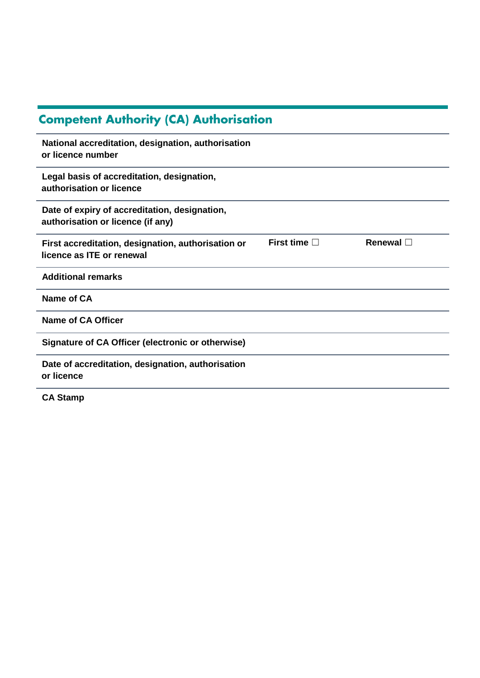| <b>Competent Authority (CA) Authorisation</b>                                      |                      |                   |
|------------------------------------------------------------------------------------|----------------------|-------------------|
| National accreditation, designation, authorisation<br>or licence number            |                      |                   |
| Legal basis of accreditation, designation,<br>authorisation or licence             |                      |                   |
| Date of expiry of accreditation, designation,<br>authorisation or licence (if any) |                      |                   |
| First accreditation, designation, authorisation or<br>licence as ITE or renewal    | First time $\square$ | Renewal $\square$ |
| <b>Additional remarks</b>                                                          |                      |                   |
| Name of CA                                                                         |                      |                   |
| Name of CA Officer                                                                 |                      |                   |
| Signature of CA Officer (electronic or otherwise)                                  |                      |                   |
| Date of accreditation, designation, authorisation<br>or licence                    |                      |                   |
| <b>CA Stamp</b>                                                                    |                      |                   |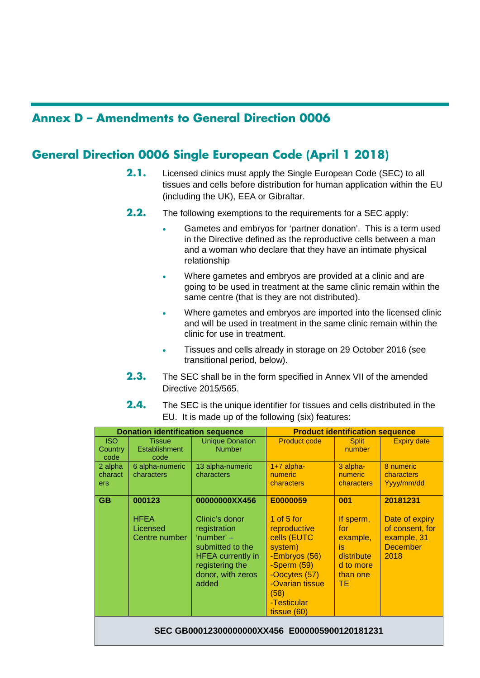## **Annex D – Amendments to General Direction 0006**

## **General Direction 0006 Single European Code (April 1 2018)**

- **2.1.** Licensed clinics must apply the Single European Code (SEC) to all tissues and cells before distribution for human application within the EU (including the UK), EEA or Gibraltar.
- **2.2.** The following exemptions to the requirements for a SEC apply:
	- Gametes and embryos for 'partner donation'. This is a term used in the Directive defined as the reproductive cells between a man and a woman who declare that they have an intimate physical relationship
	- Where gametes and embryos are provided at a clinic and are going to be used in treatment at the same clinic remain within the same centre (that is they are not distributed).
	- Where gametes and embryos are imported into the licensed clinic and will be used in treatment in the same clinic remain within the clinic for use in treatment.
	- Tissues and cells already in storage on 29 October 2016 (see transitional period, below).
- **2.3.** The SEC shall be in the form specified in Annex VII of the amended Directive 2015/565.
- **2.4.** The SEC is the unique identifier for tissues and cells distributed in the EU. It is made up of the following (six) features:

|                                               | <b>Donation identification sequence</b>            | <b>Product identification sequence</b>                                                                                                                           |                                                                                                                                                                              |                                                                                        |                                                                                         |  |  |  |
|-----------------------------------------------|----------------------------------------------------|------------------------------------------------------------------------------------------------------------------------------------------------------------------|------------------------------------------------------------------------------------------------------------------------------------------------------------------------------|----------------------------------------------------------------------------------------|-----------------------------------------------------------------------------------------|--|--|--|
| <b>ISO</b><br>Country<br>code                 | <b>Tissue</b><br><b>Establishment</b><br>code      | <b>Unique Donation</b><br><b>Number</b>                                                                                                                          | <b>Product code</b>                                                                                                                                                          | <b>Split</b><br>number                                                                 | <b>Expiry date</b>                                                                      |  |  |  |
| 2 alpha<br>charact<br><b>ers</b>              | 6 alpha-numeric<br>characters                      | 13 alpha-numeric<br>characters                                                                                                                                   | $1+7$ alpha-<br>numeric<br>characters                                                                                                                                        | 3 alpha-<br><b>numeric</b><br>characters                                               | 8 numeric<br>characters<br>Yyyy/mm/dd                                                   |  |  |  |
| <b>GB</b>                                     | 000123<br><b>HFEA</b><br>Licensed<br>Centre number | 00000000XX456<br>Clinic's donor<br>registration<br>'number' $-$<br>submitted to the<br><b>HFEA</b> currently in<br>registering the<br>donor, with zeros<br>added | E0000059<br>1 of $5$ for<br>reproductive<br>cells (EUTC<br>system)<br>-Embryos (56)<br>-Sperm (59)<br>-Oocytes (57)<br>-Ovarian tissue<br>(58)<br>-Testicular<br>tissue (60) | 001<br>If sperm,<br>for<br>example,<br>is<br>distribute<br>d to more<br>than one<br>TЕ | 20181231<br>Date of expiry<br>of consent, for<br>example, 31<br><b>December</b><br>2018 |  |  |  |
| SEC GB00012300000000XX456 E000005900120181231 |                                                    |                                                                                                                                                                  |                                                                                                                                                                              |                                                                                        |                                                                                         |  |  |  |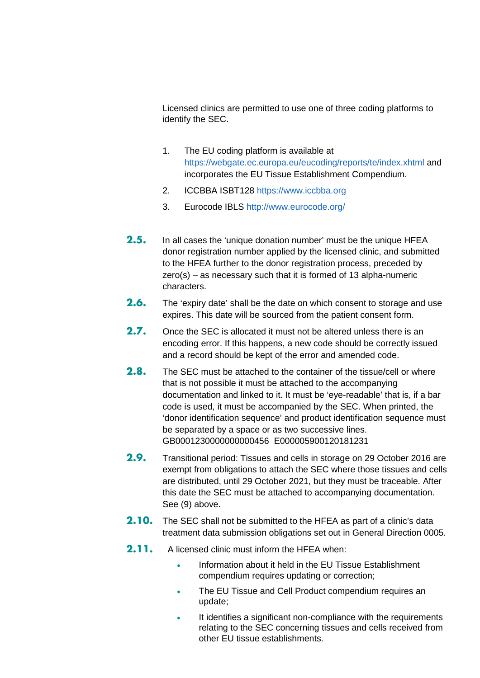Licensed clinics are permitted to use one of three coding platforms to identify the SEC.

- 1. The EU coding platform is available at <https://webgate.ec.europa.eu/eucoding/reports/te/index.xhtml> and incorporates the EU Tissue Establishment Compendium.
- 2. ICCBBA ISBT128 [https://www.iccbba.org](https://www.iccbba.org/)
- 3. Eurocode IBLS<http://www.eurocode.org/>
- **2.5.** In all cases the 'unique donation number' must be the unique HFEA donor registration number applied by the licensed clinic, and submitted to the HFEA further to the donor registration process, preceded by zero(s) – as necessary such that it is formed of 13 alpha-numeric characters.
- **2.6.** The 'expiry date' shall be the date on which consent to storage and use expires. This date will be sourced from the patient consent form.
- **2.7.** Once the SEC is allocated it must not be altered unless there is an encoding error. If this happens, a new code should be correctly issued and a record should be kept of the error and amended code.
- **2.8.** The SEC must be attached to the container of the tissue/cell or where that is not possible it must be attached to the accompanying documentation and linked to it. It must be 'eye-readable' that is, if a bar code is used, it must be accompanied by the SEC. When printed, the 'donor identification sequence' and product identification sequence must be separated by a space or as two successive lines. GB0001230000000000456 E000005900120181231
- **2.9.** Transitional period: Tissues and cells in storage on 29 October 2016 are exempt from obligations to attach the SEC where those tissues and cells are distributed, until 29 October 2021, but they must be traceable. After this date the SEC must be attached to accompanying documentation. See (9) above.
- **2.10.** The SEC shall not be submitted to the HFEA as part of a clinic's data treatment data submission obligations set out in General Direction 0005.
- **2.11.** A licensed clinic must inform the HFEA when:
	- Information about it held in the EU Tissue Establishment compendium requires updating or correction;
	- The EU Tissue and Cell Product compendium requires an update;
	- It identifies a significant non-compliance with the requirements relating to the SEC concerning tissues and cells received from other EU tissue establishments.